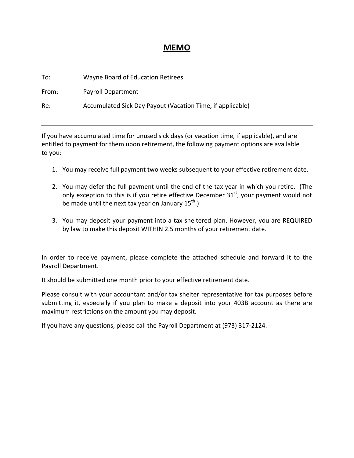## **MEMO**

| To:   | Wayne Board of Education Retirees                          |
|-------|------------------------------------------------------------|
| From: | <b>Payroll Department</b>                                  |
| Re:   | Accumulated Sick Day Payout (Vacation Time, if applicable) |

If you have accumulated time for unused sick days (or vacation time, if applicable), and are entitled to payment for them upon retirement, the following payment options are available to you:

- 1. You may receive full payment two weeks subsequent to your effective retirement date.
- 2. You may defer the full payment until the end of the tax year in which you retire. (The only exception to this is if you retire effective December  $31<sup>st</sup>$ , your payment would not be made until the next tax year on January  $15^{th}$ .)
- 3. You may deposit your payment into a tax sheltered plan. However, you are REQUIRED by law to make this deposit WITHIN 2.5 months of your retirement date.

In order to receive payment, please complete the attached schedule and forward it to the Payroll Department.

It should be submitted one month prior to your effective retirement date.

Please consult with your accountant and/or tax shelter representative for tax purposes before submitting it, especially if you plan to make a deposit into your 403B account as there are maximum restrictions on the amount you may deposit.

If you have any questions, please call the Payroll Department at (973) 317‐2124.